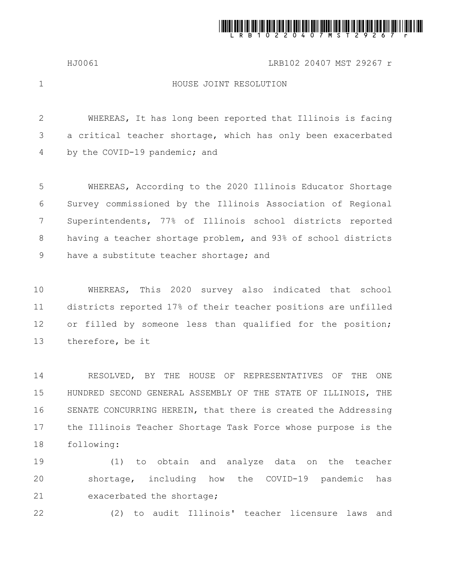

HJ0061 LRB102 20407 MST 29267 r

1

## HOUSE JOINT RESOLUTION

WHEREAS, It has long been reported that Illinois is facing a critical teacher shortage, which has only been exacerbated by the COVID-19 pandemic; and 2 3 4

WHEREAS, According to the 2020 Illinois Educator Shortage Survey commissioned by the Illinois Association of Regional Superintendents, 77% of Illinois school districts reported having a teacher shortage problem, and 93% of school districts have a substitute teacher shortage; and 5 6 7 8 9

WHEREAS, This 2020 survey also indicated that school districts reported 17% of their teacher positions are unfilled or filled by someone less than qualified for the position; therefore, be it 10 11 12 13

RESOLVED, BY THE HOUSE OF REPRESENTATIVES OF THE ONE HUNDRED SECOND GENERAL ASSEMBLY OF THE STATE OF ILLINOIS, THE SENATE CONCURRING HEREIN, that there is created the Addressing the Illinois Teacher Shortage Task Force whose purpose is the following: 14 15 16 17 18

(1) to obtain and analyze data on the teacher shortage, including how the COVID-19 pandemic has exacerbated the shortage; 19 20 21

22

(2) to audit Illinois' teacher licensure laws and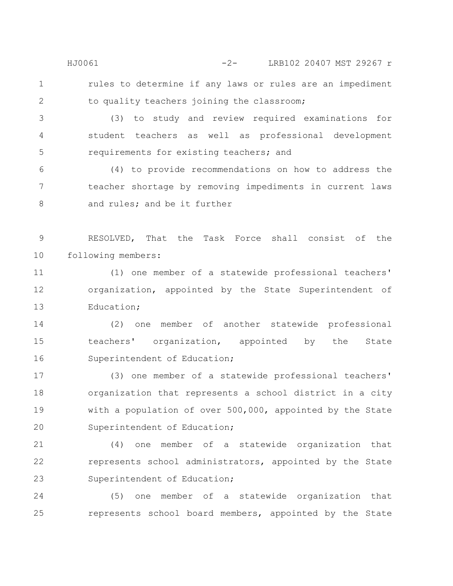rules to determine if any laws or rules are an impediment to quality teachers joining the classroom; HJ0061 -2- LRB102 20407 MST 29267 r

1

2

(3) to study and review required examinations for student teachers as well as professional development requirements for existing teachers; and 3 4 5

(4) to provide recommendations on how to address the teacher shortage by removing impediments in current laws and rules; and be it further 6 7 8

RESOLVED, That the Task Force shall consist of the following members: 9 10

(1) one member of a statewide professional teachers' organization, appointed by the State Superintendent of Education; 11 12 13

(2) one member of another statewide professional teachers' organization, appointed by the State Superintendent of Education; 14 15 16

(3) one member of a statewide professional teachers' organization that represents a school district in a city with a population of over 500,000, appointed by the State Superintendent of Education; 17 18 19 20

(4) one member of a statewide organization that represents school administrators, appointed by the State Superintendent of Education; 21 22 23

(5) one member of a statewide organization that represents school board members, appointed by the State 24 25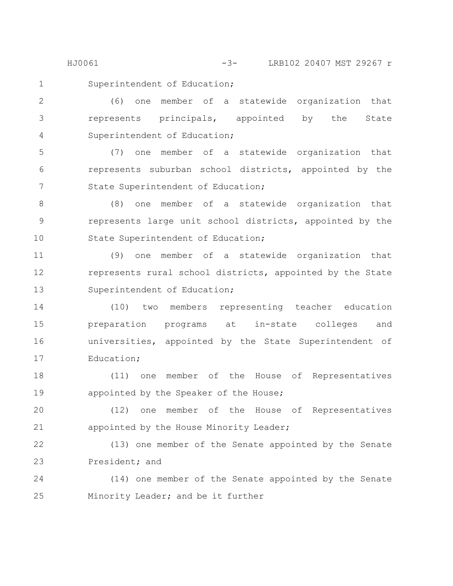HJ0061 -3- LRB102 20407 MST 29267 r

1

Superintendent of Education;

(6) one member of a statewide organization that represents principals, appointed by the State Superintendent of Education; 2 3 4

(7) one member of a statewide organization that represents suburban school districts, appointed by the State Superintendent of Education; 5 6 7

(8) one member of a statewide organization that represents large unit school districts, appointed by the State Superintendent of Education; 8 9 10

(9) one member of a statewide organization that represents rural school districts, appointed by the State Superintendent of Education; 11 12 13

(10) two members representing teacher education preparation programs at in-state colleges and universities, appointed by the State Superintendent of Education; 14 15 16 17

(11) one member of the House of Representatives appointed by the Speaker of the House; 18 19

(12) one member of the House of Representatives appointed by the House Minority Leader; 20 21

(13) one member of the Senate appointed by the Senate President; and 22 23

(14) one member of the Senate appointed by the Senate Minority Leader; and be it further 24 25